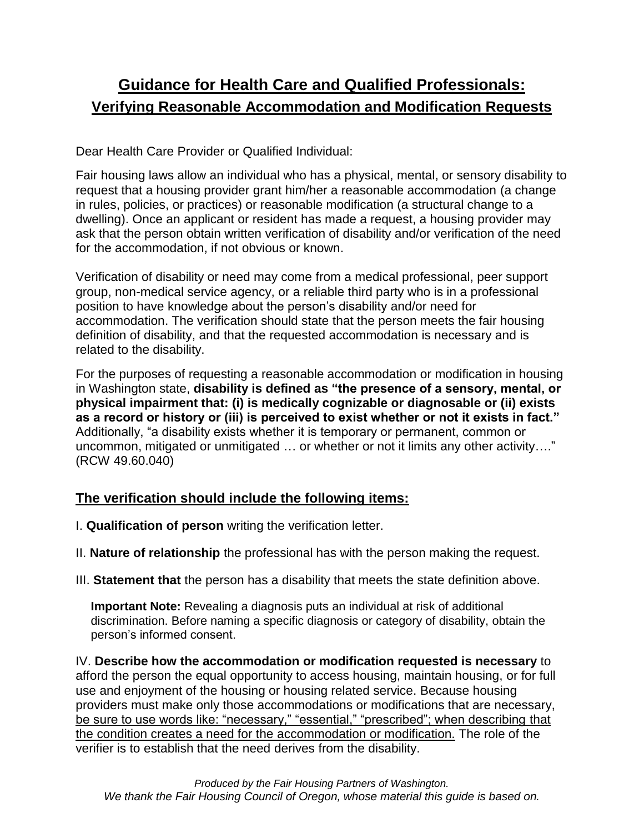## **Guidance for Health Care and Qualified Professionals: Verifying Reasonable Accommodation and Modification Requests**

Dear Health Care Provider or Qualified Individual:

Fair housing laws allow an individual who has a physical, mental, or sensory disability to request that a housing provider grant him/her a reasonable accommodation (a change in rules, policies, or practices) or reasonable modification (a structural change to a dwelling). Once an applicant or resident has made a request, a housing provider may ask that the person obtain written verification of disability and/or verification of the need for the accommodation, if not obvious or known.

Verification of disability or need may come from a medical professional, peer support group, non-medical service agency, or a reliable third party who is in a professional position to have knowledge about the person's disability and/or need for accommodation. The verification should state that the person meets the fair housing definition of disability, and that the requested accommodation is necessary and is related to the disability.

For the purposes of requesting a reasonable accommodation or modification in housing in Washington state, **disability is defined as "the presence of a sensory, mental, or physical impairment that: (i) is medically cognizable or diagnosable or (ii) exists as a record or history or (iii) is perceived to exist whether or not it exists in fact."** Additionally, "a disability exists whether it is temporary or permanent, common or uncommon, mitigated or unmitigated … or whether or not it limits any other activity…." (RCW 49.60.040)

## **The verification should include the following items:**

- I. **Qualification of person** writing the verification letter.
- II. **Nature of relationship** the professional has with the person making the request.
- III. **Statement that** the person has a disability that meets the state definition above.

**Important Note:** Revealing a diagnosis puts an individual at risk of additional discrimination. Before naming a specific diagnosis or category of disability, obtain the person's informed consent.

IV. **Describe how the accommodation or modification requested is necessary** to afford the person the equal opportunity to access housing, maintain housing, or for full use and enjoyment of the housing or housing related service. Because housing providers must make only those accommodations or modifications that are necessary, be sure to use words like: "necessary," "essential," "prescribed"; when describing that the condition creates a need for the accommodation or modification. The role of the verifier is to establish that the need derives from the disability.